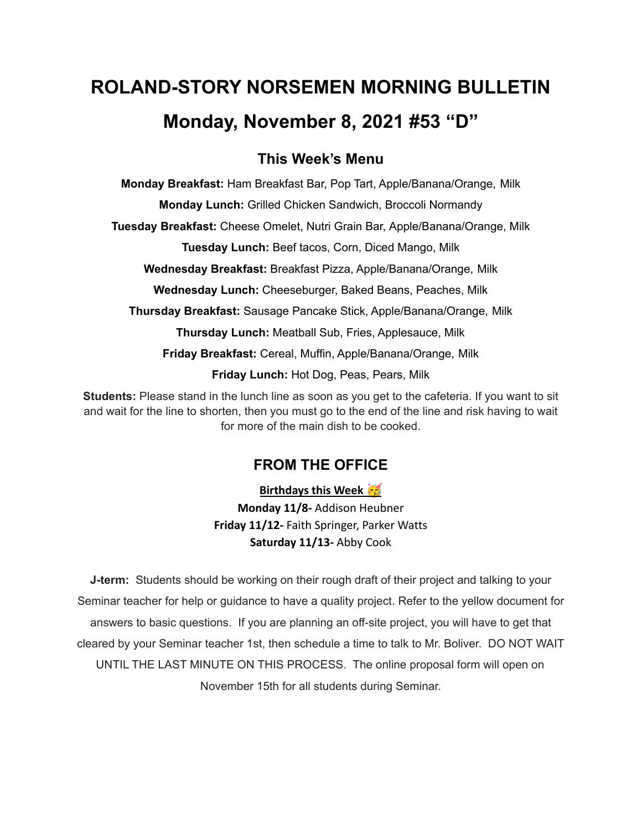# **ROLAND-STORY NORSEMEN MORNING BULLETIN Monday, November 8, 2021 #53 "D"**

### **This Week's Menu**

**Monday Breakfast:** Ham Breakfast Bar, Pop Tart, Apple/Banana/Orange, Milk

**Monday Lunch:** Grilled Chicken Sandwich, Broccoli Normandy

**Tuesday Breakfast:** Cheese Omelet, Nutri Grain Bar, Apple/Banana/Orange, Milk

**Tuesday Lunch:** Beef tacos, Corn, Diced Mango, Milk

**Wednesday Breakfast:** Breakfast Pizza, Apple/Banana/Orange, Milk

**Wednesday Lunch:** Cheeseburger, Baked Beans, Peaches, Milk

**Thursday Breakfast:** Sausage Pancake Stick, Apple/Banana/Orange, Milk

**Thursday Lunch:** Meatball Sub, Fries, Applesauce, Milk

**Friday Breakfast:** Cereal, Muffin, Apple/Banana/Orange, Milk

**Friday Lunch:** Hot Dog, Peas, Pears, Milk

**Students:** Please stand in the lunch line as soon as you get to the cafeteria. If you want to sit and wait for the line to shorten, then you must go to the end of the line and risk having to wait for more of the main dish to be cooked.

## **FROM THE OFFICE**

**Birthdays this Week Monday 11/8-** Addison Heubner **Friday 11/12-** Faith Springer, Parker Watts **Saturday 11/13-** Abby Cook

**J-term:** Students should be working on their rough draft of their project and talking to your Seminar teacher for help or guidance to have a quality project. Refer to the yellow document for answers to basic questions. If you are planning an off-site project, you will have to get that cleared by your Seminar teacher 1st, then schedule a time to talk to Mr. Boliver. DO NOT WAIT UNTIL THE LAST MINUTE ON THIS PROCESS. The online proposal form will open on November 15th for all students during Seminar.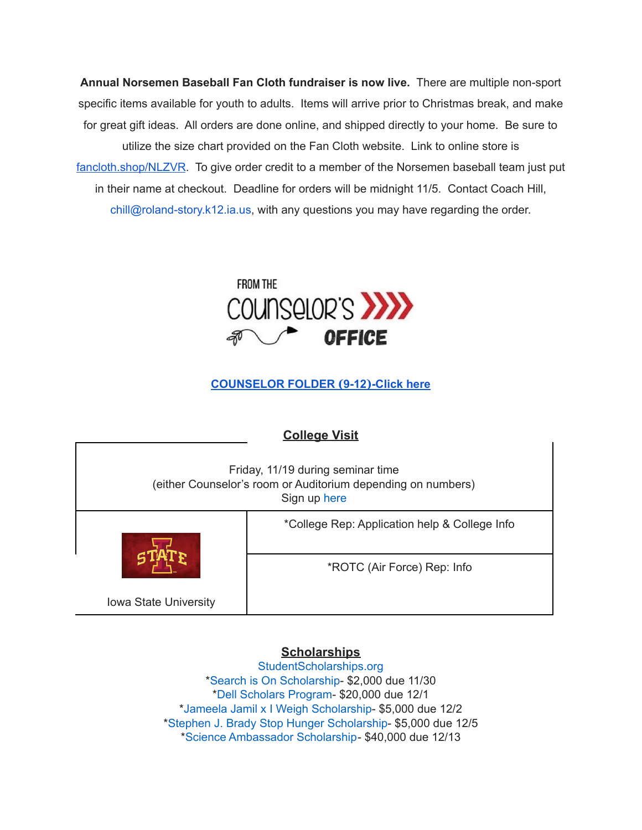**Annual Norsemen Baseball Fan Cloth fundraiser is now live.** There are multiple non-sport specific items available for youth to adults. Items will arrive prior to Christmas break, and make for great gift ideas. All orders are done online, and shipped directly to your home. Be sure to utilize the size chart provided on the Fan Cloth website. Link to online store is [fancloth.shop/NLZVR](http://fancloth.shop/NLZVR). To give order credit to a member of the Norsemen baseball team just put in their name at checkout. Deadline for orders will be midnight 11/5. Contact Coach Hill, chill@roland-story.k12.ia.us, with any questions you may have regarding the order.



### **[COUNSELOR](https://docs.google.com/document/d/1vmwczNPbDzXe9vFaG5LJMQ7NYDv-i4oQJHybqA65TUc/edit?usp=sharing) FOLDER (9-12)-Click here**

# **College Visit** Friday, 11/19 during seminar time (either Counselor's room or Auditorium depending on numbers) Sign up [here](https://forms.gle/juaxEHRunRisJU777) Iowa State University \*College Rep: Application help & College Info \*ROTC (Air Force) Rep: Info

#### **Scholarships**

[StudentScholarships.org](https://drive.google.com/file/d/1vNlRtrk0wQiX1jPIPjpUVHhi5zFlcRvw/view?usp=sharing) \*Search is On [Scholarship](https://studentscholarships.org/scholarship/19120/search_is_on_scholarship_scholarship.php)- \$2,000 due 11/30 \*Dell [Scholars](https://studentscholarships.org/scholarship/9745/dell_scholars_program_scholarship.php) Program- \$20,000 due 12/1 \*Jameela Jamil x I Weigh [Scholarship-](https://studentscholarships.org/scholarship/19302/jameela_jamil_x_i_weigh_scholarship_scholarship.php) \$5,000 due 12/2 \*Stephen J. Brady Stop Hunger [Scholarship-](https://studentscholarships.org/scholarship/8850/stephen_j_brady_stop_hunger_scholarships_scholarship.php) \$5,000 due 12/5 \*Science [Ambassador](https://studentscholarships.org/scholarship/14669/science_ambassador_scholarship_scholarship.php) Scholarship- \$40,000 due 12/13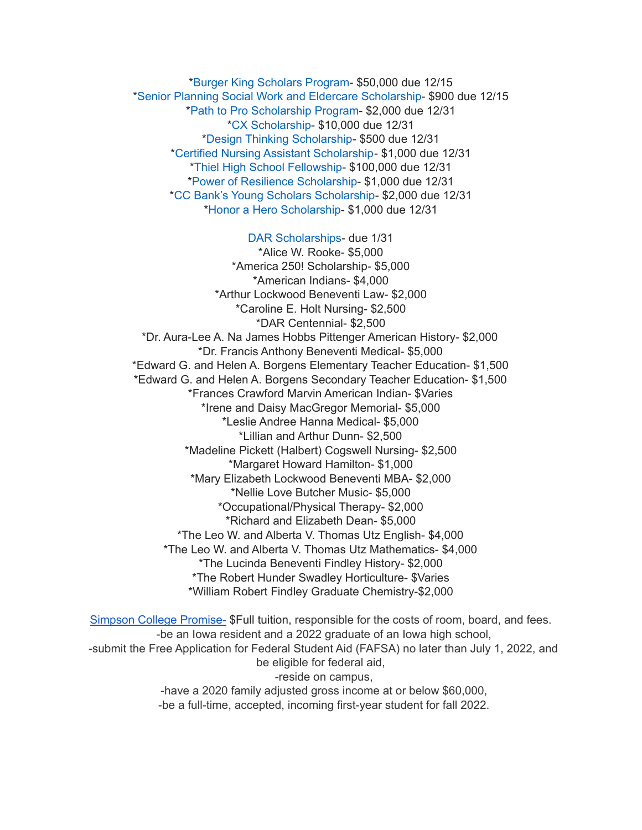\*Burger King [Scholars](https://studentscholarships.org/scholarship/10533/burger_king_scholars_program_scholarship.php) Program- \$50,000 due 12/15 \*Senior Planning Social Work and Eldercare [Scholarship](https://studentscholarships.org/scholarship/11393/senior_planning_social_scholarship.php)- \$900 due 12/15 \*Path to Pro [Scholarship](https://studentscholarships.org/scholarship/19069/path_to_pro_scholarship_program_scholarship.php) Program- \$2,000 due 12/31 \*CX [Scholarship-](https://studentscholarships.org/scholarship/19320/cx_scholarship_scholarship.php) \$10,000 due 12/31 \*Design Thinking [Scholarship](https://studentscholarships.org/scholarship/11010/design_thinking_scholarship_scholarship.php)- \$500 due 12/31 \*Certified Nursing Assistant [Scholarship-](https://studentscholarships.org/scholarship/19122/certified_nursing_assistant_scholarship_scholarship.php) \$1,000 due 12/31 \*Thiel High School [Fellowship](https://studentscholarships.org/scholarship/14065/thiel_fellowship_scholarship.php)- \$100,000 due 12/31 \*Power of Resilience [Scholarship-](https://studentscholarships.org/scholarship/14792/power_of_resilience_scholarship_scholarship.php) \$1,000 due 12/31 \*CC Bank's Young Scholars [Scholarship-](https://studentscholarships.org/scholarship/13729/cc_bank_s_young_scholars_scholarship_scholarship.php) \$2,000 due 12/31 \*Honor a Hero [Scholarship](https://studentscholarships.org/scholarship/19015/honor_a_hero_scholarship_scholarship.php)- \$1,000 due 12/31

DAR [Scholarships-](https://dar.academicworks.com/) due 1/31 \*Alice W. Rooke- \$5,000 \*America 250! Scholarship- \$5,000 \*American Indians- \$4,000 \*Arthur Lockwood Beneventi Law- \$2,000 \*Caroline E. Holt Nursing- \$2,500 \*DAR Centennial- \$2,500 \*Dr. Aura-Lee A. Na James Hobbs Pittenger American History- \$2,000 \*Dr. Francis Anthony Beneventi Medical- \$5,000 \*Edward G. and Helen A. Borgens Elementary Teacher Education- \$1,500 \*Edward G. and Helen A. Borgens Secondary Teacher Education- \$1,500 \*Frances Crawford Marvin American Indian- \$Varies \*Irene and Daisy MacGregor Memorial- \$5,000 \*Leslie Andree Hanna Medical- \$5,000 \*Lillian and Arthur Dunn- \$2,500 \*Madeline Pickett (Halbert) Cogswell Nursing- \$2,500 \*Margaret Howard Hamilton- \$1,000 \*Mary Elizabeth Lockwood Beneventi MBA- \$2,000 \*Nellie Love Butcher Music- \$5,000 \*Occupational/Physical Therapy- \$2,000 \*Richard and Elizabeth Dean- \$5,000 \*The Leo W. and Alberta V. Thomas Utz English- \$4,000 \*The Leo W. and Alberta V. Thomas Utz Mathematics- \$4,000 \*The Lucinda Beneventi Findley History- \$2,000 \*The Robert Hunder Swadley Horticulture- \$Varies \*William Robert Findley Graduate Chemistry-\$2,000

Simpson College [Promise-](https://simpson.edu/admission-aid/tuition-aid/simpson-promise) \$Full tuition, responsible for the costs of room, board, and fees. -be an Iowa resident and a 2022 graduate of an Iowa high school, -submit the Free Application for Federal Student Aid (FAFSA) no later than July 1, 2022, and be eligible for federal aid, -reside on campus, -have a 2020 family adjusted gross income at or below \$60,000, -be a full-time, accepted, incoming first-year student for fall 2022.